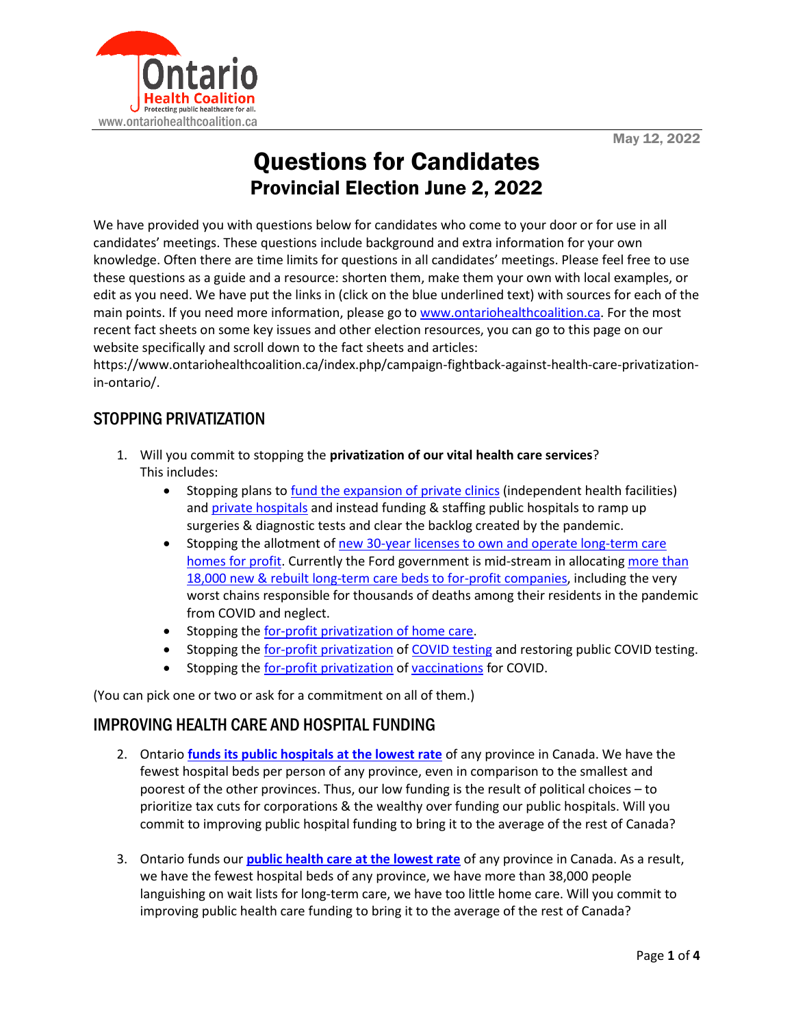

# Questions for Candidates Provincial Election June 2, 2022

We have provided you with questions below for candidates who come to your door or for use in all candidates' meetings. These questions include background and extra information for your own knowledge. Often there are time limits for questions in all candidates' meetings. Please feel free to use these questions as a guide and a resource: shorten them, make them your own with local examples, or edit as you need. We have put the links in (click on the blue underlined text) with sources for each of the main points. If you need more information, please go to [www.ontariohealthcoalition.ca.](http://www.ontariohealthcoalition.ca/) For the most recent fact sheets on some key issues and other election resources, you can go to this page on our website specifically and scroll down to the fact sheets and articles:

https://www.ontariohealthcoalition.ca/index.php/campaign-fightback-against-health-care-privatizationin-ontario/.

## STOPPING PRIVATIZATION

- 1. Will you commit to stopping the **privatization of our vital health care services**? This includes:
	- Stopping plans to [fund the expansion of private clinics](https://www.thestar.com/opinion/contributors/2022/04/25/too-many-dangers-in-promised-privatization-of-care-economy.html) (independent health facilities) and [private hospitals](https://www.thestar.com/opinion/contributors/2022/03/15/doug-fords-government-is-quietly-privatizing-health-care.html) and instead funding & staffing public hospitals to ramp up surgeries & diagnostic tests and clear the backlog created by the pandemic.
	- Stopping the allotment of [new 30-year licenses to own and operate long-term care](https://www.ontariohealthcoalition.ca/index.php/release-ford-government-is-awarding-thousands-of-long-term-care-beds-to-for-profit-chains-with-ghastly-records-of-death-and-suffering-new-coalition-report/)  [homes for profit.](https://www.ontariohealthcoalition.ca/index.php/release-ford-government-is-awarding-thousands-of-long-term-care-beds-to-for-profit-chains-with-ghastly-records-of-death-and-suffering-new-coalition-report/) Currently the Ford government is mid-stream in allocatin[g more than](https://toronto.ctvnews.ca/advocates-families-of-long-term-care-residents-sounding-the-alarm-over-plans-to-award-beds-to-private-operators-1.5686562)  [18,000 new & rebuilt long-term care beds to for-profit companies,](https://toronto.ctvnews.ca/advocates-families-of-long-term-care-residents-sounding-the-alarm-over-plans-to-award-beds-to-private-operators-1.5686562) including the very worst chains responsible for thousands of deaths among their residents in the pandemic from COVID and neglect.
	- Stopping th[e for-profit privatization of home care.](https://www.ontariohealthcoalition.ca/index.php/release-submission-submission-on-bill-175-connecting-people-to-home-and-community-care-act-2020/)
	- Stopping th[e for-profit privatization](https://www.ontariohealthcoalition.ca/index.php/briefing-note-the-privatization-of-covid-19-testing-in-ontario/) o[f COVID testing](https://pressprogress.ca/doug-fords-director-of-pandemic-response-was-a-private-health-lobbyist-for-shoppers-drug-mart/) and restoring public COVID testing.
	- Stopping th[e for-profit privatization](https://www.ontariohealthcoalition.ca/index.php/ford-ramping-up-privatization-of-ontario-health-care-system/) o[f vaccinations](https://toronto.ctvnews.ca/ndp-calls-on-elections-ontario-to-investigate-ford-government-contract-with-private-health-care-company-1.5756909) for COVID.

(You can pick one or two or ask for a commitment on all of them.)

#### IMPROVING HEALTH CARE AND HOSPITAL FUNDING

- 2. Ontario **[funds its public hospitals at the lowest rate](https://www.thespec.com/opinion/contributors/2022/03/18/ontario-government-pushing-for-privatized-health-care.html#:~:text=On%20a%20per%2Dcapita%20basis,average%20of%20the%20other%20provinces.%E2%80%9D)** of any province in Canada. We have the fewest hospital beds per person of any province, even in comparison to the smallest and poorest of the other provinces. Thus, our low funding is the result of political choices – to prioritize tax cuts for corporations & the wealthy over funding our public hospitals. Will you commit to improving public hospital funding to bring it to the average of the rest of Canada?
- 3. Ontario funds our **[public health care at the lowest rate](https://www.cbc.ca/news/canada/toronto/ontario-fao-health-spending-1.6410479#:~:text=104-,During%20the%20first%20year%20of%20the%20COVID%2D19%20pandemic%2C%20Ontario)** of any province in Canada. As a result, we have the fewest hospital beds of any province, we have more than 38,000 people languishing on wait lists for long-term care, we have too little home care. Will you commit to improving public health care funding to bring it to the average of the rest of Canada?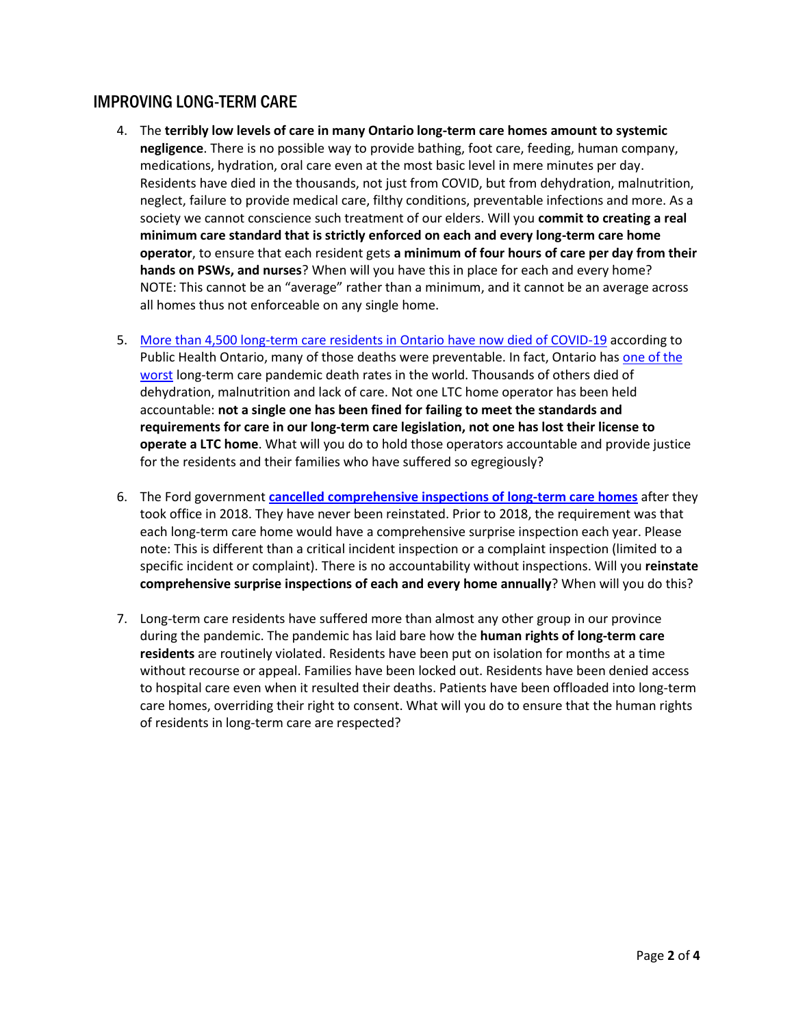#### IMPROVING LONG-TERM CARE

- 4. The **terribly low levels of care in many Ontario long-term care homes amount to systemic negligence**. There is no possible way to provide bathing, foot care, feeding, human company, medications, hydration, oral care even at the most basic level in mere minutes per day. Residents have died in the thousands, not just from COVID, but from dehydration, malnutrition, neglect, failure to provide medical care, filthy conditions, preventable infections and more. As a society we cannot conscience such treatment of our elders. Will you **commit to creating a real minimum care standard that is strictly enforced on each and every long-term care home operator**, to ensure that each resident gets **a minimum of four hours of care per day from their hands on PSWs, and nurses**? When will you have this in place for each and every home? NOTE: This cannot be an "average" rather than a minimum, and it cannot be an average across all homes thus not enforceable on any single home.
- 5. [More than 4,500 long-term care residents in Ontario have now died of COVID-19](https://files.ontario.ca/moh-covid-19-report-en-2022-05-12.pdf) according to Public Health Ontario, many of those deaths were preventable. In fact, Ontario has [one of the](https://www.cbc.ca/news/canada/ottawa/canada-record-covid-19-deaths-wealthy-countries-cihi-1.5968749)  [worst](https://www.cbc.ca/news/canada/ottawa/canada-record-covid-19-deaths-wealthy-countries-cihi-1.5968749) long-term care pandemic death rates in the world. Thousands of others died of dehydration, malnutrition and lack of care. Not one LTC home operator has been held accountable: **not a single one has been fined for failing to meet the standards and requirements for care in our long-term care legislation, not one has lost their license to operate a LTC home**. What will you do to hold those operators accountable and provide justice for the residents and their families who have suffered so egregiously?
- 6. The Ford government **cancelled [comprehensive inspections of long-term care homes](https://www.cbc.ca/news/canada/seniors-homes-inspections-1.5532585)** after they took office in 2018. They have never been reinstated. Prior to 2018, the requirement was that each long-term care home would have a comprehensive surprise inspection each year. Please note: This is different than a critical incident inspection or a complaint inspection (limited to a specific incident or complaint). There is no accountability without inspections. Will you **reinstate comprehensive surprise inspections of each and every home annually**? When will you do this?
- 7. Long-term care residents have suffered more than almost any other group in our province during the pandemic. The pandemic has laid bare how the **human rights of long-term care residents** are routinely violated. Residents have been put on isolation for months at a time without recourse or appeal. Families have been locked out. Residents have been denied access to hospital care even when it resulted their deaths. Patients have been offloaded into long-term care homes, overriding their right to consent. What will you do to ensure that the human rights of residents in long-term care are respected?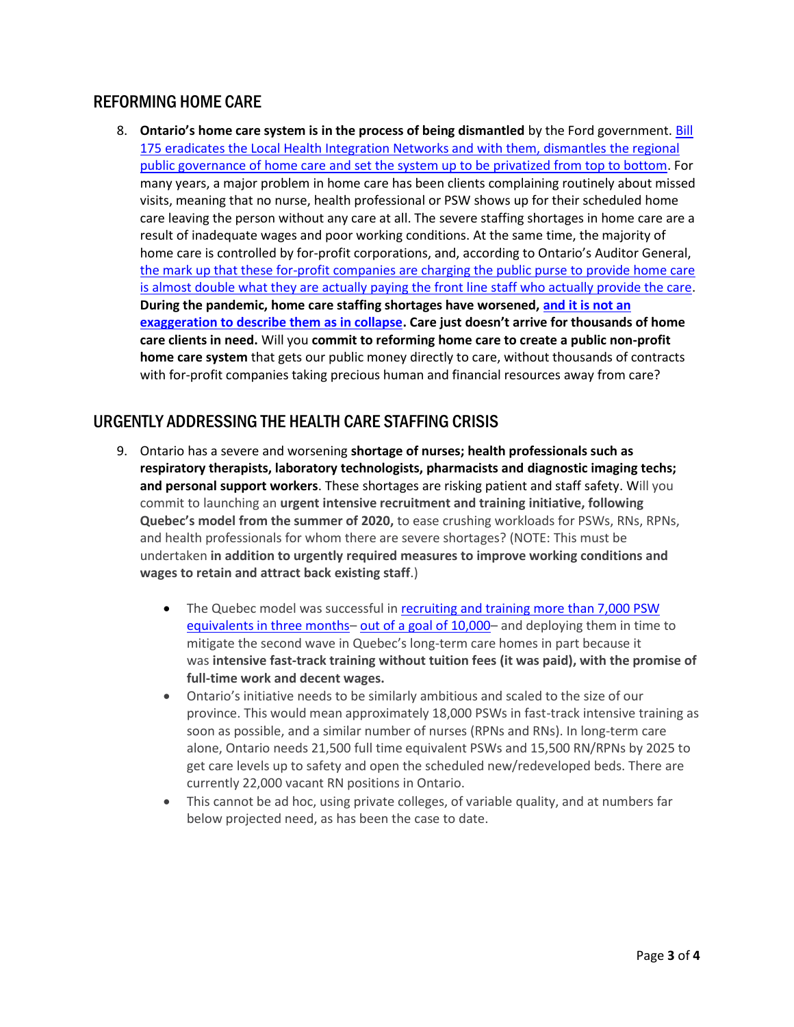#### REFORMING HOME CARE

8. **Ontario's home care system is in the process of being dismantled** by the Ford government. [Bill](https://www.ontariohealthcoalition.ca/index.php/release-submission-submission-on-bill-175-connecting-people-to-home-and-community-care-act-2020/)  [175 eradicates the Local Health Integration Networks and with them, dismantles](https://www.ontariohealthcoalition.ca/index.php/release-submission-submission-on-bill-175-connecting-people-to-home-and-community-care-act-2020/) the regional public governance of home care [and set the system up to be privatized from top to bottom.](https://www.ontariohealthcoalition.ca/index.php/release-submission-submission-on-bill-175-connecting-people-to-home-and-community-care-act-2020/) For many years, a major problem in home care has been clients complaining routinely about missed visits, meaning that no nurse, health professional or PSW shows up for their scheduled home care leaving the person without any care at all. The severe staffing shortages in home care are a result of inadequate wages and poor working conditions. At the same time, the majority of home care is controlled by for-profit corporations, and, according to Ontario's Auditor General, the mark up that these for-profit companies [are charging the public purse to provide home care](https://www.ontariohealthcoalition.ca/index.php/release-hundreds-of-millions-in-home-care-funding-going-to-profit-duplicate-administration-and-impossibly-complex-and-bureaucratic-home-care-system-auditors-ccac-home-care-report/)  [is almost double what they are actually paying the front line staff who actually provide the care.](https://www.ontariohealthcoalition.ca/index.php/release-hundreds-of-millions-in-home-care-funding-going-to-profit-duplicate-administration-and-impossibly-complex-and-bureaucratic-home-care-system-auditors-ccac-home-care-report/) **During the pandemic, home care staffing shortages have worsened, [and it is not an](https://www.cbc.ca/news/canada/home-care-support-private-companies-1.6387911)  [exaggeration to describe them as in collapse](https://www.cbc.ca/news/canada/home-care-support-private-companies-1.6387911). Care just doesn't arrive for thousands of home care clients in need.** Will you **commit to reforming home care to create a public non-profit home care system** that gets our public money directly to care, without thousands of contracts with for-profit companies taking precious human and financial resources away from care?

## URGENTLY ADDRESSING THE HEALTH CARE STAFFING CRISIS

- 9. Ontario has a severe and worsening **shortage of nurses; health professionals such as respiratory therapists, laboratory technologists, pharmacists and diagnostic imaging techs; and personal support workers**. These shortages are risking patient and staff safety. Will you commit to launching an **urgent intensive recruitment and training initiative, following Quebec's model from the summer of 2020,** to ease crushing workloads for PSWs, RNs, RPNs, and health professionals for whom there are severe shortages? (NOTE: This must be undertaken **in addition to urgently required measures to improve working conditions and wages to retain and attract back existing staff**.)
	- The Quebec model was successful in recruiting and training more than 7,000 PSW [equivalents in three months](https://montreal.ctvnews.ca/quebec-reveals-changes-made-to-long-term-care-homes-ahead-of-second-wave-1.5117188)– [out of a goal of 10,000](https://www.cbc.ca/news/canada/montreal/chsld-orderlies-training-program-announced-1.5595010)– and deploying them in time to mitigate the second wave in Quebec's long-term care homes in part because it was **intensive fast-track training without tuition fees (it was paid), with the promise of full-time work and decent wages.**
	- Ontario's initiative needs to be similarly ambitious and scaled to the size of our province. This would mean approximately 18,000 PSWs in fast-track intensive training as soon as possible, and a similar number of nurses (RPNs and RNs). In long-term care alone, Ontario needs 21,500 full time equivalent PSWs and 15,500 RN/RPNs by 2025 to get care levels up to safety and open the scheduled new/redeveloped beds. There are currently 22,000 vacant RN positions in Ontario.
	- This cannot be ad hoc, using private colleges, of variable quality, and at numbers far below projected need, as has been the case to date.